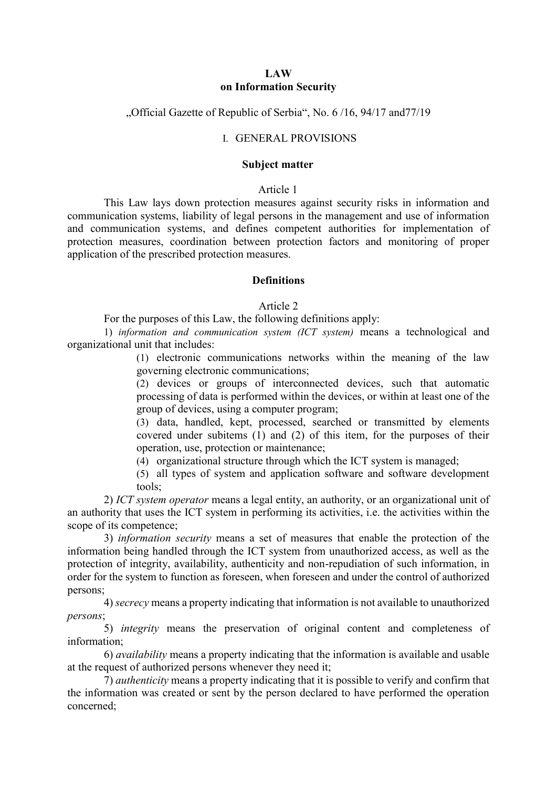### **LAW on Information Security**

### "Official Gazette of Republic of Serbia", No. 6/16, 94/17 and 77/19

# I. GENERAL PROVISIONS

#### **Subject matter**

## Article 1

This Law lays down protection measures against security risks in information and communication systems, liability of legal persons in the management and use of information and communication systems, and defines competent authorities for implementation of protection measures, coordination between protection factors and monitoring of proper application of the prescribed protection measures.

### **Definitions**

### Article 2

For the purposes of this Law, the following definitions apply:

1) *information and communication system (ICT system)* means a technological and organizational unit that includes:

> (1) electronic communications networks within the meaning of the law governing electronic communications;

> (2) devices or groups of interconnected devices, such that automatic processing of data is performed within the devices, or within at least one of the group of devices, using a computer program;

> (3) data, handled, kept, processed, searched or transmitted by elements covered under subitems (1) and (2) of this item, for the purposes of their operation, use, protection or maintenance;

(4) organizational structure through which the ICT system is managed;

(5) all types of system and application software and software development tools;

2) *ICT system operator* means a legal entity, an authority, or an organizational unit of an authority that uses the ICT system in performing its activities, i.e. the activities within the scope of its competence;

3) *information security* means a set of measures that enable the protection of the information being handled through the ICT system from unauthorized access, as well as the protection of integrity, availability, authenticity and non-repudiation of such information, in order for the system to function as foreseen, when foreseen and under the control of authorized persons;

4) *secrecy* means a property indicating that information is not available to unauthorized *persons*;

5) *integrity* means the preservation of original content and completeness of information;

6) *availability* means a property indicating that the information is available and usable at the request of authorized persons whenever they need it;

7) *authenticity* means a property indicating that it is possible to verify and confirm that the information was created or sent by the person declared to have performed the operation concerned;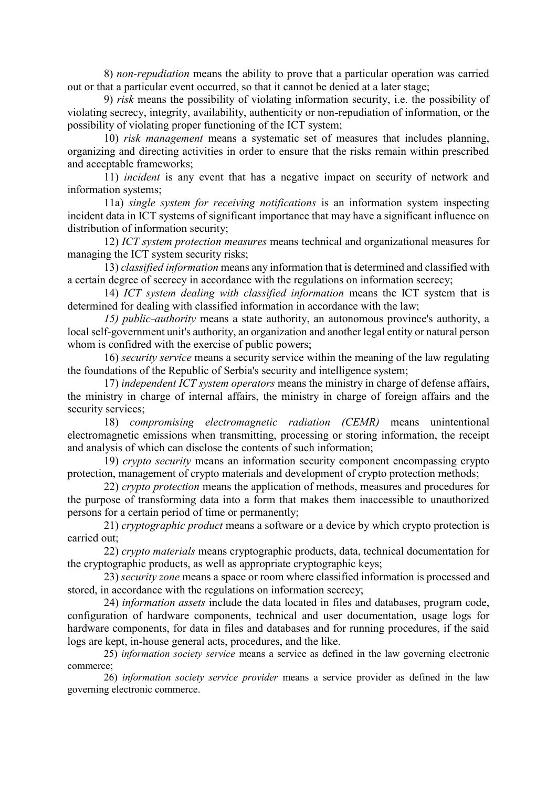8) *non-repudiation* means the ability to prove that a particular operation was carried out or that a particular event occurred, so that it cannot be denied at a later stage;

9) *risk* means the possibility of violating information security, i.e. the possibility of violating secrecy, integrity, availability, authenticity or non-repudiation of information, or the possibility of violating proper functioning of the ICT system;

10) *risk management* means a systematic set of measures that includes planning, organizing and directing activities in order to ensure that the risks remain within prescribed and acceptable frameworks;

11) *incident* is any event that has a negative impact on security of network and information systems;

11a) *single system for receiving notifications* is an information system inspecting incident data in ICT systems of significant importance that may have a significant influence on distribution of information security;

12) *ICT system protection measures* means technical and organizational measures for managing the ICT system security risks;

13) *classified information* means any information that is determined and classified with a certain degree of secrecy in accordance with the regulations on information secrecy;

14) *ICT system dealing with classified information* means the ICT system that is determined for dealing with classified information in accordance with the law;

*15) public authority* means a state authority, an autonomous province's authority, a local self-government unit's authority, an organization and another legal entity or natural person whom is confidred with the exercise of public powers;

16) *security service* means a security service within the meaning of the law regulating the foundations of the Republic of Serbia's security and intelligence system;

17) *independent ICT system operators* means the ministry in charge of defense affairs, the ministry in charge of internal affairs, the ministry in charge of foreign affairs and the security services;

18) *compromising electromagnetic radiation (CEMR)* means unintentional electromagnetic emissions when transmitting, processing or storing information, the receipt and analysis of which can disclose the contents of such information;

19) *crypto security* means an information security component encompassing crypto protection, management of crypto materials and development of crypto protection methods;

22) *crypto protection* means the application of methods, measures and procedures for the purpose of transforming data into a form that makes them inaccessible to unauthorized persons for a certain period of time or permanently;

21) *cryptographic product* means a software or a device by which crypto protection is carried out;

22) *crypto materials* means cryptographic products, data, technical documentation for the cryptographic products, as well as appropriate cryptographic keys;

23) *security zone* means a space or room where classified information is processed and stored, in accordance with the regulations on information secrecy;

24) *information assets* include the data located in files and databases, program code, configuration of hardware components, technical and user documentation, usage logs for hardware components, for data in files and databases and for running procedures, if the said logs are kept, in-house general acts, procedures, and the like.

25) *information society service* means a service as defined in the law governing electronic commerce;

26) *information society service provider* means a service provider as defined in the law governing electronic commerce.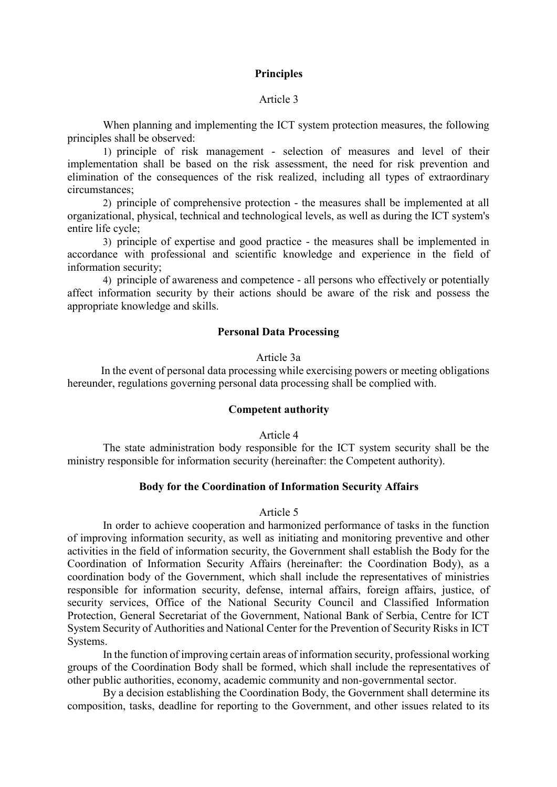### **Principles**

## Article 3

When planning and implementing the ICT system protection measures, the following principles shall be observed:

1) principle of risk management - selection of measures and level of their implementation shall be based on the risk assessment, the need for risk prevention and elimination of the consequences of the risk realized, including all types of extraordinary circumstances;

2) principle of comprehensive protection - the measures shall be implemented at all organizational, physical, technical and technological levels, as well as during the ICT system's entire life cycle;

3) principle of expertise and good practice - the measures shall be implemented in accordance with professional and scientific knowledge and experience in the field of information security;

4) principle of awareness and competence - all persons who effectively or potentially affect information security by their actions should be aware of the risk and possess the appropriate knowledge and skills.

# **Personal Data Processing**

Article 3а

In the event of personal data processing while exercising powers or meeting obligations hereunder, regulations governing personal data processing shall be complied with.

### **Competent authority**

Article 4

The state administration body responsible for the ICT system security shall be the ministry responsible for information security (hereinafter: the Competent authority).

### **Body for the Coordination of Information Security Affairs**

#### Article 5

In order to achieve cooperation and harmonized performance of tasks in the function of improving information security, as well as initiating and monitoring preventive and other activities in the field of information security, the Government shall establish the Body for the Coordination of Information Security Affairs (hereinafter: the Coordination Body), as a coordination body of the Government, which shall include the representatives of ministries responsible for information security, defense, internal affairs, foreign affairs, justice, of security services, Office of the National Security Council and Classified Information Protection, General Secretariat of the Government, National Bank of Serbia, Centre for ICT System Security of Authorities and National Center for the Prevention of Security Risks in ICT Systems.

In the function of improving certain areas of information security, professional working groups of the Coordination Body shall be formed, which shall include the representatives of other public authorities, economy, academic community and non-governmental sector.

By a decision establishing the Coordination Body, the Government shall determine its composition, tasks, deadline for reporting to the Government, and other issues related to its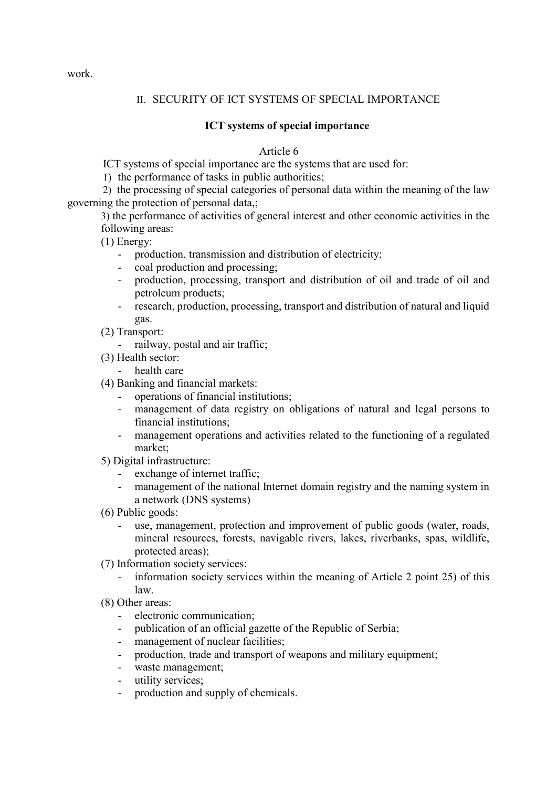# II. SECURITY OF ICT SYSTEMS OF SPECIAL IMPORTANCE

# **ICT systems of special importance**

Article 6

ICT systems of special importance are the systems that are used for:

1) the performance of tasks in public authorities;

2) the processing of special categories of personal data within the meaning of the law governing the protection of personal data,;

3) the performance of activities of general interest and other economic activities in the following areas:

(1) Energy:

- production, transmission and distribution of electricity;
- coal production and processing;
- production, processing, transport and distribution of oil and trade of oil and petroleum products;
- research, production, processing, transport and distribution of natural and liquid gas.
- (2) Transport:
	- railway, postal and air traffic;
- (3) Health sector:
	- health care
- (4) Banking and financial markets:
	- operations of financial institutions;
	- management of data registry on obligations of natural and legal persons to financial institutions;
	- management operations and activities related to the functioning of a regulated market;
- 5) Digital infrastructure:
	- exchange of internet traffic;
	- management of the national Internet domain registry and the naming system in a network (DNS systems)
- (6) Public goods:
	- use, management, protection and improvement of public goods (water, roads, mineral resources, forests, navigable rivers, lakes, riverbanks, spas, wildlife, protected areas);
- (7) Information society services:
	- information society services within the meaning of Article 2 point 25) of this law.
- (8) Other areas:
	- electronic communication;
	- publication of an official gazette of the Republic of Serbia;
	- management of nuclear facilities:
	- production, trade and transport of weapons and military equipment;
	- waste management;
	- utility services;
	- production and supply of chemicals.

work.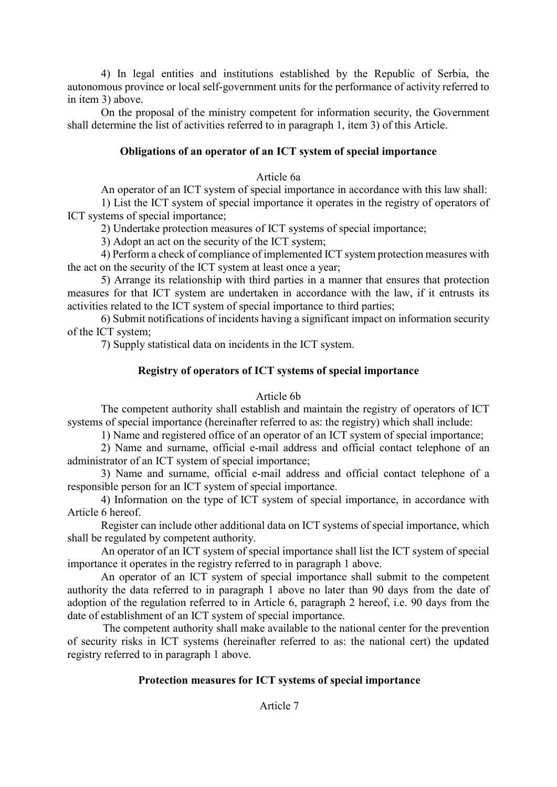4) In legal entities and institutions established by the Republic of Serbia, the autonomous province or local self-government units for the performance of activity referred to in item 3) above.

On the proposal of the ministry competent for information security, the Government shall determine the list of activities referred to in paragraph 1, item 3) of this Article.

# **Obligations of an operator of an ICT system of special importance**

## Article 6а

An operator of an ICT system of special importance in accordance with this law shall:

1) List the ICT system of special importance it operates in the registry of operators of ICT systems of special importance;

2) Undertake protection measures of ICT systems of special importance;

3) Adopt an act on the security of the ICT system;

4) Perform a check of compliance of implemented ICT system protection measures with the act on the security of the ICT system at least once a year;

5) Arrange its relationship with third parties in a manner that ensures that protection measures for that ICT system are undertaken in accordance with the law, if it entrusts its activities related to the ICT system of special importance to third parties;

6) Submit notifications of incidents having a significant impact on information security of the ICT system;

7) Supply statistical data on incidents in the ICT system.

# **Registry of operators of ICT systems of special importance**

# Article 6b

The competent authority shall establish and maintain the registry of operators of ICT systems of special importance (hereinafter referred to as: the registry) which shall include:

1) Name and registered office of an operator of an ICT system of special importance;

2) Name and surname, official e-mail address and official contact telephone of an administrator of an ICT system of special importance;

3) Name and surname, official e-mail address and official contact telephone of a responsible person for an ICT system of special importance.

4) Information on the type of ICT system of special importance, in accordance with Article 6 hereof.

Register can include other additional data on ICT systems of special importance, which shall be regulated by competent authority.

An operator of an ICT system of special importance shall list the ICT system of special importance it operates in the registry referred to in paragraph 1 above.

An operator of an ICT system of special importance shall submit to the competent authority the data referred to in paragraph 1 above no later than 90 days from the date of adoption of the regulation referred to in Article 6, paragraph 2 hereof, i.e. 90 days from the date of establishment of an ICT system of special importance.

The competent authority shall make available to the national center for the prevention of security risks in ICT systems (hereinafter referred to as: the national cert) the updated registry referred to in paragraph 1 above.

# **Protection measures for ICT systems of special importance**

# Article 7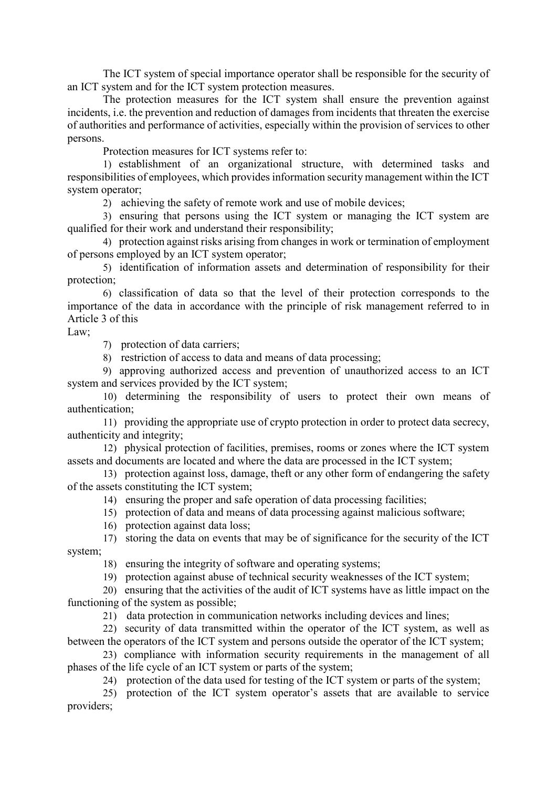The ICT system of special importance operator shall be responsible for the security of an ICT system and for the ICT system protection measures.

The protection measures for the ICT system shall ensure the prevention against incidents, i.e. the prevention and reduction of damages from incidents that threaten the exercise of authorities and performance of activities, especially within the provision of services to other persons.

Protection measures for ICT systems refer to:

1) establishment of an organizational structure, with determined tasks and responsibilities of employees, which provides information security management within the ICT system operator;

2) achieving the safety of remote work and use of mobile devices;

3) ensuring that persons using the ICT system or managing the ICT system are qualified for their work and understand their responsibility;

4) protection against risks arising from changes in work or termination of employment of persons employed by an ICT system operator;

5) identification of information assets and determination of responsibility for their protection;

6) classification of data so that the level of their protection corresponds to the importance of the data in accordance with the principle of risk management referred to in Article 3 of this

Law;

7) protection of data carriers;

8) restriction of access to data and means of data processing;

9) approving authorized access and prevention of unauthorized access to an ICT system and services provided by the ICT system;

10) determining the responsibility of users to protect their own means of authentication;

11) providing the appropriate use of crypto protection in order to protect data secrecy, authenticity and integrity;

12) physical protection of facilities, premises, rooms or zones where the ICT system assets and documents are located and where the data are processed in the ICT system;

13) protection against loss, damage, theft or any other form of endangering the safety of the assets constituting the ICT system;

- 14) ensuring the proper and safe operation of data processing facilities;
- 15) protection of data and means of data processing against malicious software;
- 16) protection against data loss;

17) storing the data on events that may be of significance for the security of the ICT system;

18) ensuring the integrity of software and operating systems;

19) protection against abuse of technical security weaknesses of the ICT system;

20) ensuring that the activities of the audit of ICT systems have as little impact on the functioning of the system as possible;

21) data protection in communication networks including devices and lines;

22) security of data transmitted within the operator of the ICT system, as well as between the operators of the ICT system and persons outside the operator of the ICT system;

23) compliance with information security requirements in the management of all phases of the life cycle of an ICT system or parts of the system;

24) protection of the data used for testing of the ICT system or parts of the system;

25) protection of the ICT system operator's assets that are available to service providers;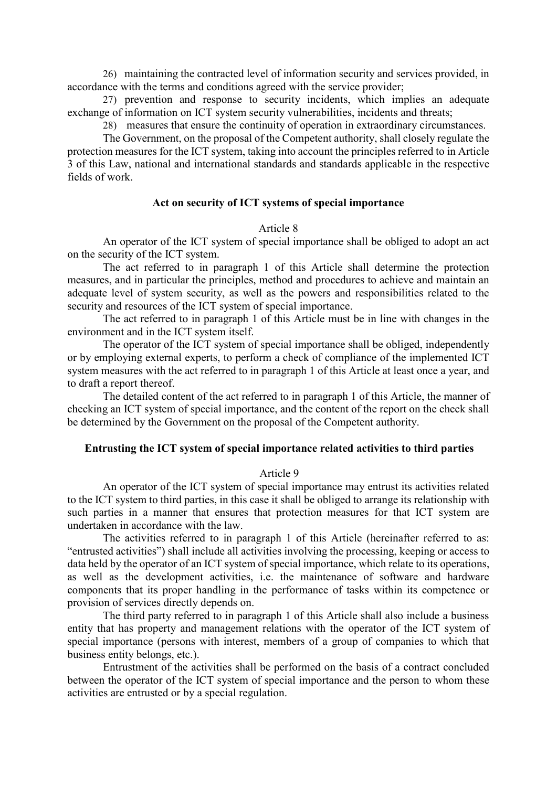26) maintaining the contracted level of information security and services provided, in accordance with the terms and conditions agreed with the service provider;

27) prevention and response to security incidents, which implies an adequate exchange of information on ICT system security vulnerabilities, incidents and threats;

28) measures that ensure the continuity of operation in extraordinary circumstances.

The Government, on the proposal of the Competent authority, shall closely regulate the protection measures for the ICT system, taking into account the principles referred to in Article 3 of this Law, national and international standards and standards applicable in the respective fields of work.

# **Act on security of ICT systems of special importance**

### Article 8

An operator of the ICT system of special importance shall be obliged to adopt an act on the security of the ICT system.

The act referred to in paragraph 1 of this Article shall determine the protection measures, and in particular the principles, method and procedures to achieve and maintain an adequate level of system security, as well as the powers and responsibilities related to the security and resources of the ICT system of special importance.

The act referred to in paragraph 1 of this Article must be in line with changes in the environment and in the ICT system itself.

The operator of the ICT system of special importance shall be obliged, independently or by employing external experts, to perform a check of compliance of the implemented ICT system measures with the act referred to in paragraph 1 of this Article at least once a year, and to draft a report thereof.

The detailed content of the act referred to in paragraph 1 of this Article, the manner of checking an ICT system of special importance, and the content of the report on the check shall be determined by the Government on the proposal of the Competent authority.

### **Entrusting the ICT system of special importance related activities to third parties**

#### Article 9

An operator of the ICT system of special importance may entrust its activities related to the ICT system to third parties, in this case it shall be obliged to arrange its relationship with such parties in a manner that ensures that protection measures for that ICT system are undertaken in accordance with the law.

The activities referred to in paragraph 1 of this Article (hereinafter referred to as: "entrusted activities") shall include all activities involving the processing, keeping or access to data held by the operator of an ICT system of special importance, which relate to its operations, as well as the development activities, i.e. the maintenance of software and hardware components that its proper handling in the performance of tasks within its competence or provision of services directly depends on.

The third party referred to in paragraph 1 of this Article shall also include a business entity that has property and management relations with the operator of the ICT system of special importance (persons with interest, members of a group of companies to which that business entity belongs, etc.).

Entrustment of the activities shall be performed on the basis of a contract concluded between the operator of the ICT system of special importance and the person to whom these activities are entrusted or by a special regulation.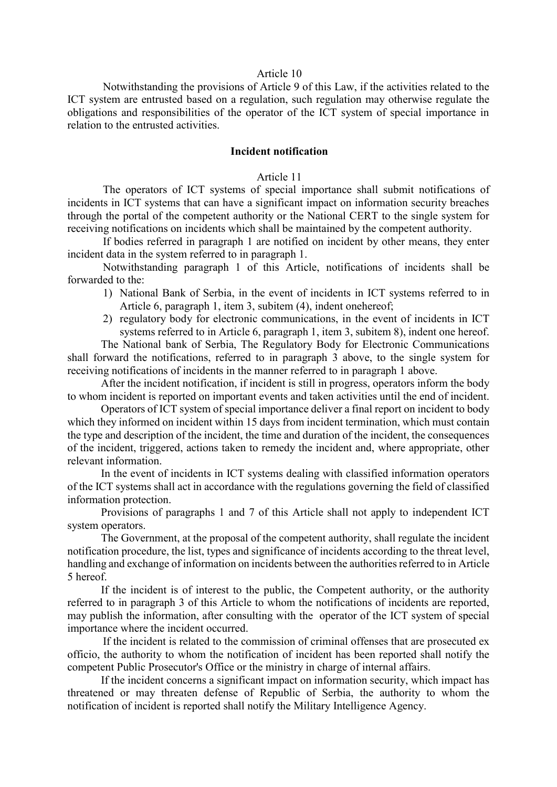#### Article 10

Notwithstanding the provisions of Article 9 of this Law, if the activities related to the ICT system are entrusted based on a regulation, such regulation may otherwise regulate the obligations and responsibilities of the operator of the ICT system of special importance in relation to the entrusted activities.

## **Incident notification**

#### Article 11

The operators of ICT systems of special importance shall submit notifications of incidents in ICT systems that can have a significant impact on information security breaches through the portal of the competent authority or the National CERT to the single system for receiving notifications on incidents which shall be maintained by the competent authority.

If bodies referred in paragraph 1 are notified on incident by other means, they enter incident data in the system referred to in paragraph 1.

Notwithstanding paragraph 1 of this Article, notifications of incidents shall be forwarded to the:

- 1) National Bank of Serbia, in the event of incidents in ICT systems referred to in Article 6, paragraph 1, item 3, subitem (4), indent onehereof;
- 2) regulatory body for electronic communications, in the event of incidents in ICT systems referred to in Article 6, paragraph 1, item 3, subitem 8), indent one hereof.

The National bank of Serbia, The Regulatory Body for Electronic Communications shall forward the notifications, referred to in paragraph 3 above, to the single system for receiving notifications of incidents in the manner referred to in paragraph 1 above.

After the incident notification, if incident is still in progress, operators inform the body to whom incident is reported on important events and taken activities until the end of incident.

Operators of ICT system of special importance deliver a final report on incident to body which they informed on incident within 15 days from incident termination, which must contain the type and description of the incident, the time and duration of the incident, the consequences of the incident, triggered, actions taken to remedy the incident and, where appropriate, other relevant information.

In the event of incidents in ICT systems dealing with classified information operators of the ICT systems shall act in accordance with the regulations governing the field of classified information protection.

Provisions of paragraphs 1 and 7 of this Article shall not apply to independent ICT system operators.

The Government, at the proposal of the competent authority, shall regulate the incident notification procedure, the list, types and significance of incidents according to the threat level, handling and exchange of information on incidents between the authorities referred to in Article 5 hereof.

If the incident is of interest to the public, the Competent authority, or the authority referred to in paragraph 3 of this Article to whom the notifications of incidents are reported, may publish the information, after consulting with the operator of the ICT system of special importance where the incident occurred.

If the incident is related to the commission of criminal offenses that are prosecuted ex officio, the authority to whom the notification of incident has been reported shall notify the competent Public Prosecutor's Office or the ministry in charge of internal affairs.

If the incident concerns a significant impact on information security, which impact has threatened or may threaten defense of Republic of Serbia, the authority to whom the notification of incident is reported shall notify the Military Intelligence Agency.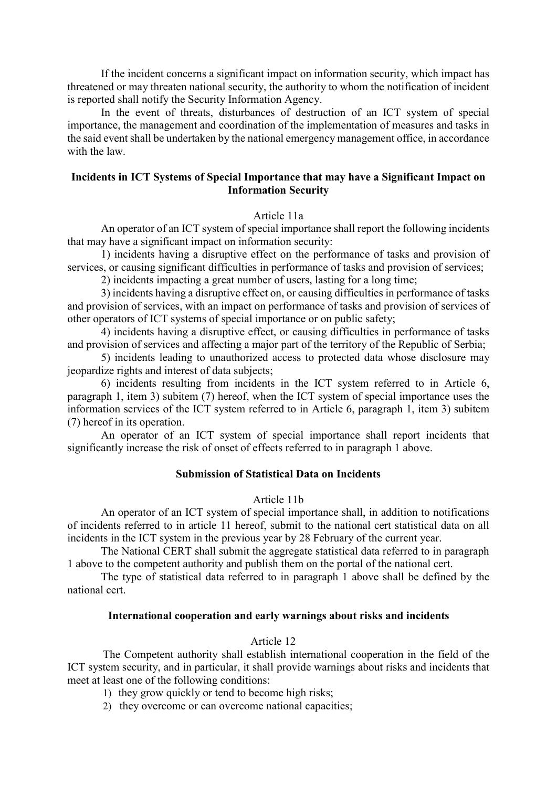If the incident concerns a significant impact on information security, which impact has threatened or may threaten national security, the authority to whom the notification of incident is reported shall notify the Security Information Agency.

In the event of threats, disturbances of destruction of an ICT system of special importance, the management and coordination of the implementation of measures and tasks in the said event shall be undertaken by the national emergency management office, in accordance with the law.

## **Incidents in ICT Systems of Special Importance that may have a Significant Impact on Information Security**

### Article 11а

An operator of an ICT system of special importance shall report the following incidents that may have a significant impact on information security:

1) incidents having a disruptive effect on the performance of tasks and provision of services, or causing significant difficulties in performance of tasks and provision of services;

2) incidents impacting a great number of users, lasting for a long time;

3) incidents having a disruptive effect on, or causing difficulties in performance of tasks and provision of services, with an impact on performance of tasks and provision of services of other operators of ICT systems of special importance or on public safety;

4) incidents having a disruptive effect, or causing difficulties in performance of tasks and provision of services and affecting a major part of the territory of the Republic of Serbia;

5) incidents leading to unauthorized access to protected data whose disclosure may jeopardize rights and interest of data subjects;

6) incidents resulting from incidents in the ICT system referred to in Article 6, paragraph 1, item 3) subitem (7) hereof, when the ICT system of special importance uses the information services of the ICT system referred to in Article 6, paragraph 1, item 3) subitem (7) hereof in its operation.

An operator of an ICT system of special importance shall report incidents that significantly increase the risk of onset of effects referred to in paragraph 1 above.

## **Submission of Statistical Data on Incidents**

### Article 11b

An operator of an ICT system of special importance shall, in addition to notifications of incidents referred to in article 11 hereof, submit to the national cert statistical data on all incidents in the ICT system in the previous year by 28 February of the current year.

The National CERT shall submit the aggregate statistical data referred to in paragraph 1 above to the competent authority and publish them on the portal of the national cert.

The type of statistical data referred to in paragraph 1 above shall be defined by the national cert.

### **International cooperation and early warnings about risks and incidents**

### Article 12

The Competent authority shall establish international cooperation in the field of the ICT system security, and in particular, it shall provide warnings about risks and incidents that meet at least one of the following conditions:

- 1) they grow quickly or tend to become high risks;
- 2) they overcome or can overcome national capacities;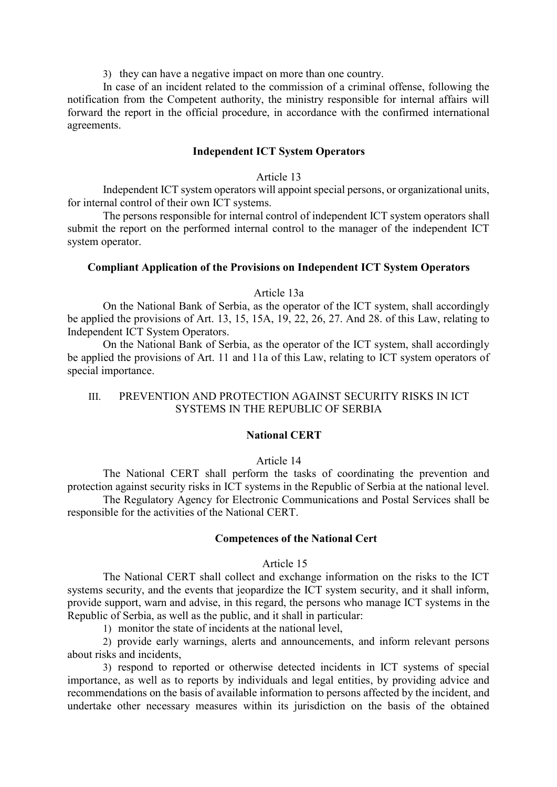3) they can have a negative impact on more than one country.

In case of an incident related to the commission of a criminal offense, following the notification from the Competent authority, the ministry responsible for internal affairs will forward the report in the official procedure, in accordance with the confirmed international agreements.

## **Independent ICT System Operators**

#### Article 13

Independent ICT system operators will appoint special persons, or organizational units, for internal control of their own ICT systems.

The persons responsible for internal control of independent ICT system operators shall submit the report on the performed internal control to the manager of the independent ICT system operator.

### **Compliant Application of the Provisions on Independent ICT System Operators**

#### Article 13a

On the National Bank of Serbia, as the operator of the ICT system, shall accordingly be applied the provisions of Art. 13, 15, 15А, 19, 22, 26, 27. And 28. of this Law, relating to Independent ICT System Operators.

On the National Bank of Serbia, as the operator of the ICT system, shall accordingly be applied the provisions of Art. 11 and 11a of this Law, relating to ICT system operators of special importance.

# III. PREVENTION AND PROTECTION AGAINST SECURITY RISKS IN ICT SYSTEMS IN THE REPUBLIC OF SERBIA

## **National CERT**

#### Article 14

The National CERT shall perform the tasks of coordinating the prevention and protection against security risks in ICT systems in the Republic of Serbia at the national level. The Regulatory Agency for Electronic Communications and Postal Services shall be responsible for the activities of the National CERT.

#### **Competences of the National Cert**

#### Article 15

The National CERT shall collect and exchange information on the risks to the ICT systems security, and the events that jeopardize the ICT system security, and it shall inform, provide support, warn and advise, in this regard, the persons who manage ICT systems in the Republic of Serbia, as well as the public, and it shall in particular:

1) monitor the state of incidents at the national level,

2) provide early warnings, alerts and announcements, and inform relevant persons about risks and incidents,

3) respond to reported or otherwise detected incidents in ICT systems of special importance, as well as to reports by individuals and legal entities, by providing advice and recommendations on the basis of available information to persons affected by the incident, and undertake other necessary measures within its jurisdiction on the basis of the obtained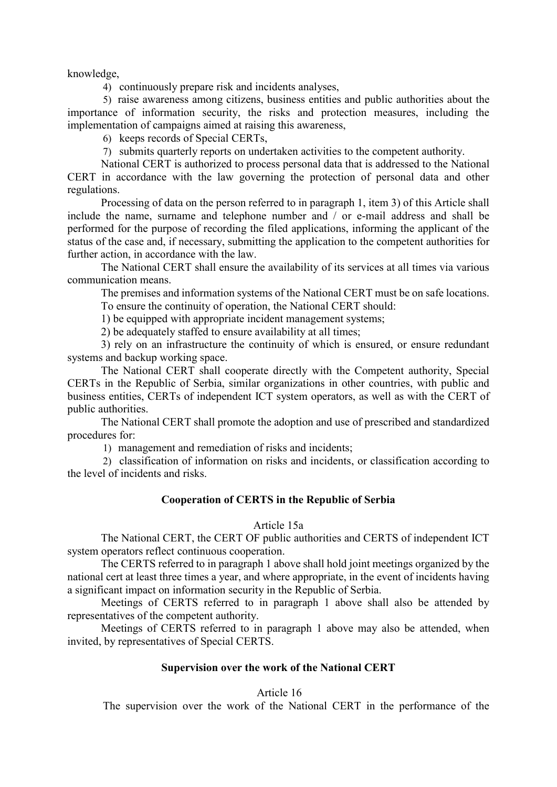knowledge,

4) continuously prepare risk and incidents analyses,

5) raise awareness among citizens, business entities and public authorities about the importance of information security, the risks and protection measures, including the implementation of campaigns aimed at raising this awareness,

6) keeps records of Special CERTs,

7) submits quarterly reports on undertaken activities to the competent authority.

National CERT is authorized to process personal data that is addressed to the National CERT in accordance with the law governing the protection of personal data and other regulations.

Processing of data on the person referred to in paragraph 1, item 3) of this Article shall include the name, surname and telephone number and / or e-mail address and shall be performed for the purpose of recording the filed applications, informing the applicant of the status of the case and, if necessary, submitting the application to the competent authorities for further action, in accordance with the law.

The National CERT shall ensure the availability of its services at all times via various communication means.

The premises and information systems of the National CERT must be on safe locations. To ensure the continuity of operation, the National CERT should:

1) be equipped with appropriate incident management systems;

2) be adequately staffed to ensure availability at all times;

3) rely on an infrastructure the continuity of which is ensured, or ensure redundant systems and backup working space.

The National CERT shall cooperate directly with the Competent authority, Special CERTs in the Republic of Serbia, similar organizations in other countries, with public and business entities, CERTs of independent ICT system operators, as well as with the CERT of public authorities.

The National CERT shall promote the adoption and use of prescribed and standardized procedures for:

1) management and remediation of risks and incidents;

2) classification of information on risks and incidents, or classification according to the level of incidents and risks.

## **Cooperation of CERTS in the Republic of Serbia**

### Article 15а

The National CERT, the CERT OF public authorities and CERTS of independent ICT system operators reflect continuous cooperation.

The CERTS referred to in paragraph 1 above shall hold joint meetings organized by the national cert at least three times a year, and where appropriate, in the event of incidents having a significant impact on information security in the Republic of Serbia.

Meetings of CERTS referred to in paragraph 1 above shall also be attended by representatives of the competent authority.

Meetings of CERTS referred to in paragraph 1 above may also be attended, when invited, by representatives of Special CERTS.

### **Supervision over the work of the National CERT**

## Article 16

The supervision over the work of the National CERT in the performance of the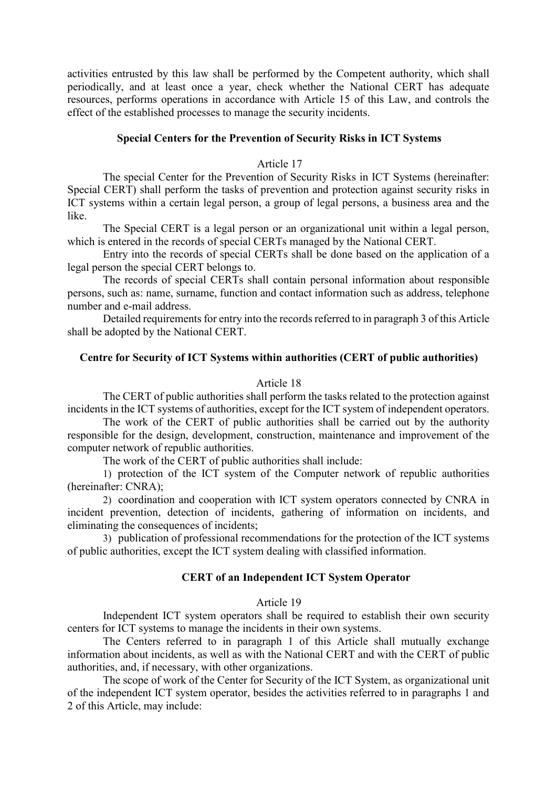activities entrusted by this law shall be performed by the Competent authority, which shall periodically, and at least once a year, check whether the National CERT has adequate resources, performs operations in accordance with Article 15 of this Law, and controls the effect of the established processes to manage the security incidents.

### **Special Centers for the Prevention of Security Risks in ICT Systems**

### Article 17

The special Center for the Prevention of Security Risks in ICT Systems (hereinafter: Special CERT) shall perform the tasks of prevention and protection against security risks in ICT systems within a certain legal person, a group of legal persons, a business area and the like.

The Special CERT is a legal person or an organizational unit within a legal person, which is entered in the records of special CERTs managed by the National CERT.

Entry into the records of special CERTs shall be done based on the application of a legal person the special CERT belongs to.

The records of special CERTs shall contain personal information about responsible persons, such as: name, surname, function and contact information such as address, telephone number and e-mail address.

Detailed requirements for entry into the records referred to in paragraph 3 of this Article shall be adopted by the National CERT.

## **Centre for Security of ICT Systems within authorities (CERT of public authorities)**

## Article 18

The CERT of public authorities shall perform the tasks related to the protection against incidents in the ICT systems of authorities, except for the ICT system of independent operators.

The work of the CERT of public authorities shall be carried out by the authority responsible for the design, development, construction, maintenance and improvement of the computer network of republic authorities.

The work of the CERT of public authorities shall include:

1) protection of the ICT system of the Computer network of republic authorities (hereinafter: CNRA);

2) coordination and cooperation with ICT system operators connected by CNRA in incident prevention, detection of incidents, gathering of information on incidents, and eliminating the consequences of incidents;

3) publication of professional recommendations for the protection of the ICT systems of public authorities, except the ICT system dealing with classified information.

# **CERT of an Independent ICT System Operator**

### Article 19

Independent ICT system operators shall be required to establish their own security centers for ICT systems to manage the incidents in their own systems.

The Centers referred to in paragraph 1 of this Article shall mutually exchange information about incidents, as well as with the National CERT and with the CERT of public authorities, and, if necessary, with other organizations.

The scope of work of the Center for Security of the ICT System, as organizational unit of the independent ICT system operator, besides the activities referred to in paragraphs 1 and 2 of this Article, may include: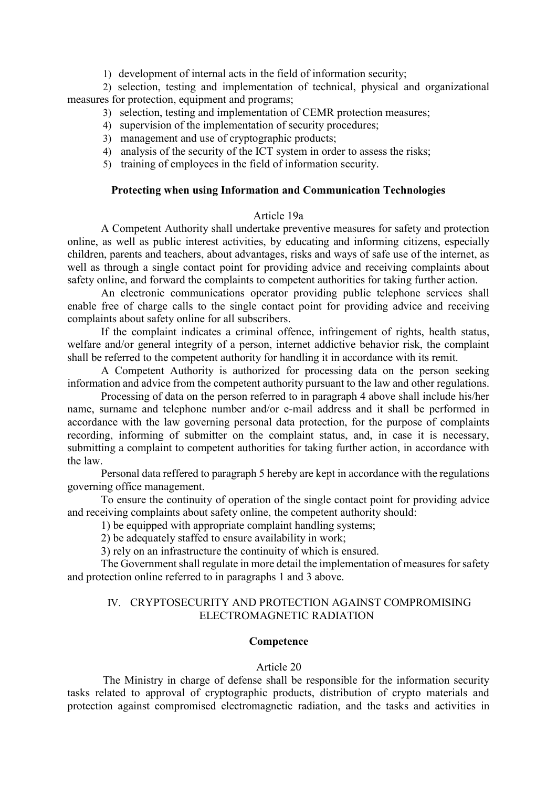1) development of internal acts in the field of information security;

2) selection, testing and implementation of technical, physical and organizational measures for protection, equipment and programs;

- 3) selection, testing and implementation of CEMR protection measures;
- 4) supervision of the implementation of security procedures;
- 3) management and use of cryptographic products;
- 4) analysis of the security of the ICT system in order to assess the risks;
- 5) training of employees in the field of information security.

# **Protecting when using Information and Communication Technologies**

## Article 19а

A Competent Authority shall undertake preventive measures for safety and protection online, as well as public interest activities, by educating and informing citizens, especially children, parents and teachers, about advantages, risks and ways of safe use of the internet, as well as through a single contact point for providing advice and receiving complaints about safety online, and forward the complaints to competent authorities for taking further action.

An electronic communications operator providing public telephone services shall enable free of charge calls to the single contact point for providing advice and receiving complaints about safety online for all subscribers.

If the complaint indicates a criminal offence, infringement of rights, health status, welfare and/or general integrity of a person, internet addictive behavior risk, the complaint shall be referred to the competent authority for handling it in accordance with its remit.

A Competent Authority is authorized for processing data on the person seeking information and advice from the competent authority pursuant to the law and other regulations.

Processing of data on the person referred to in paragraph 4 above shall include his/her name, surname and telephone number and/or e-mail address and it shall be performed in accordance with the law governing personal data protection, for the purpose of complaints recording, informing of submitter on the complaint status, and, in case it is necessary, submitting a complaint to competent authorities for taking further action, in accordance with the law.

Personal data reffered to paragraph 5 hereby are kept in accordance with the regulations governing office management.

To ensure the continuity of operation of the single contact point for providing advice and receiving complaints about safety online, the competent authority should:

1) be equipped with appropriate complaint handling systems;

2) be adequately staffed to ensure availability in work;

3) rely on an infrastructure the continuity of which is ensured.

The Government shall regulate in more detail the implementation of measures for safety and protection online referred to in paragraphs 1 and 3 above.

# IV. CRYPTOSECURITY AND PROTECTION AGAINST COMPROMISING ELECTROMAGNETIC RADIATION

## **Competence**

## Article 20

The Ministry in charge of defense shall be responsible for the information security tasks related to approval of cryptographic products, distribution of crypto materials and protection against compromised electromagnetic radiation, and the tasks and activities in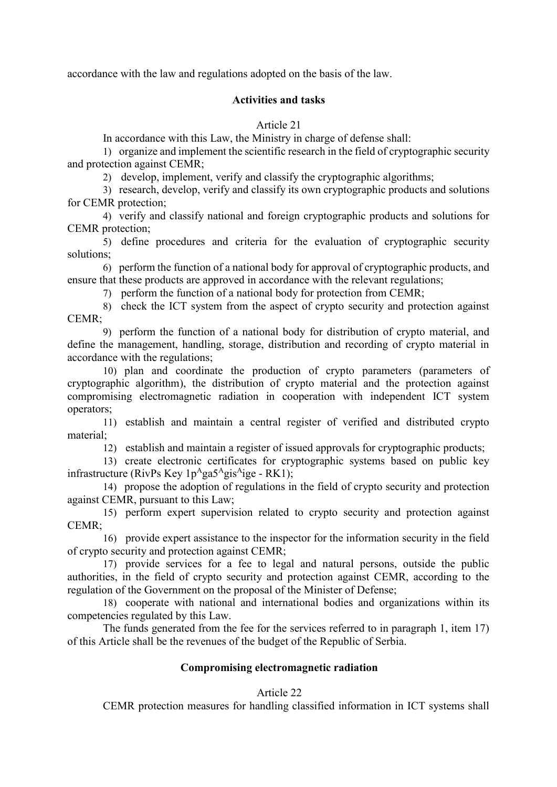accordance with the law and regulations adopted on the basis of the law.

# **Activities and tasks**

Article 21

In accordance with this Law, the Ministry in charge of defense shall:

1) organize and implement the scientific research in the field of cryptographic security and protection against CEMR;

2) develop, implement, verify and classify the cryptographic algorithms;

3) research, develop, verify and classify its own cryptographic products and solutions for CEMR protection;

4) verify and classify national and foreign cryptographic products and solutions for CEMR protection;

5) define procedures and criteria for the evaluation of cryptographic security solutions;

6) perform the function of a national body for approval of cryptographic products, and ensure that these products are approved in accordance with the relevant regulations;

7) perform the function of a national body for protection from CEMR;

8) check the ICT system from the aspect of crypto security and protection against CEMR;

9) perform the function of a national body for distribution of crypto material, and define the management, handling, storage, distribution and recording of crypto material in accordance with the regulations;

10) plan and coordinate the production of crypto parameters (parameters of cryptographic algorithm), the distribution of crypto material and the protection against compromising electromagnetic radiation in cooperation with independent ICT system operators;

11) establish and maintain a central register of verified and distributed crypto material;

12) establish and maintain a register of issued approvals for cryptographic products;

13) create electronic certificates for cryptographic systems based on public key infrastructure (RivPs Key 1p<sup>A</sup>ga5<sup>A</sup>gis<sup>A</sup>ige - RK1);

14) propose the adoption of regulations in the field of crypto security and protection against CEMR, pursuant to this Law;

15) perform expert supervision related to crypto security and protection against CEMR;

16) provide expert assistance to the inspector for the information security in the field of crypto security and protection against CEMR;

17) provide services for a fee to legal and natural persons, outside the public authorities, in the field of crypto security and protection against CEMR, according to the regulation of the Government on the proposal of the Minister of Defense;

18) cooperate with national and international bodies and organizations within its competencies regulated by this Law.

The funds generated from the fee for the services referred to in paragraph 1, item 17) of this Article shall be the revenues of the budget of the Republic of Serbia.

# **Compromising electromagnetic radiation**

# Article 22

CEMR protection measures for handling classified information in ICT systems shall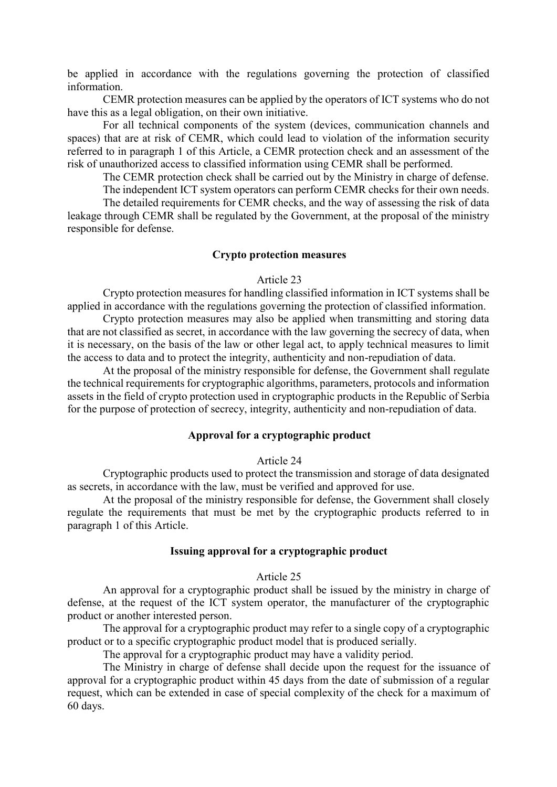be applied in accordance with the regulations governing the protection of classified information.

CEMR protection measures can be applied by the operators of ICT systems who do not have this as a legal obligation, on their own initiative.

For all technical components of the system (devices, communication channels and spaces) that are at risk of CEMR, which could lead to violation of the information security referred to in paragraph 1 of this Article, a CEMR protection check and an assessment of the risk of unauthorized access to classified information using CEMR shall be performed.

The CEMR protection check shall be carried out by the Ministry in charge of defense. The independent ICT system operators can perform CEMR checks for their own needs.

The detailed requirements for CEMR checks, and the way of assessing the risk of data leakage through CEMR shall be regulated by the Government, at the proposal of the ministry responsible for defense.

#### **Crypto protection measures**

#### Article 23

Crypto protection measures for handling classified information in ICT systems shall be applied in accordance with the regulations governing the protection of classified information.

Crypto protection measures may also be applied when transmitting and storing data that are not classified as secret, in accordance with the law governing the secrecy of data, when it is necessary, on the basis of the law or other legal act, to apply technical measures to limit the access to data and to protect the integrity, authenticity and non-repudiation of data.

At the proposal of the ministry responsible for defense, the Government shall regulate the technical requirements for cryptographic algorithms, parameters, protocols and information assets in the field of crypto protection used in cryptographic products in the Republic of Serbia for the purpose of protection of secrecy, integrity, authenticity and non-repudiation of data.

### **Approval for a cryptographic product**

#### Article 24

Cryptographic products used to protect the transmission and storage of data designated as secrets, in accordance with the law, must be verified and approved for use.

At the proposal of the ministry responsible for defense, the Government shall closely regulate the requirements that must be met by the cryptographic products referred to in paragraph 1 of this Article.

#### **Issuing approval for a cryptographic product**

#### Article 25

An approval for a cryptographic product shall be issued by the ministry in charge of defense, at the request of the ICT system operator, the manufacturer of the cryptographic product or another interested person.

The approval for a cryptographic product may refer to a single copy of a cryptographic product or to a specific cryptographic product model that is produced serially.

The approval for a cryptographic product may have a validity period.

The Ministry in charge of defense shall decide upon the request for the issuance of approval for a cryptographic product within 45 days from the date of submission of a regular request, which can be extended in case of special complexity of the check for a maximum of 60 days.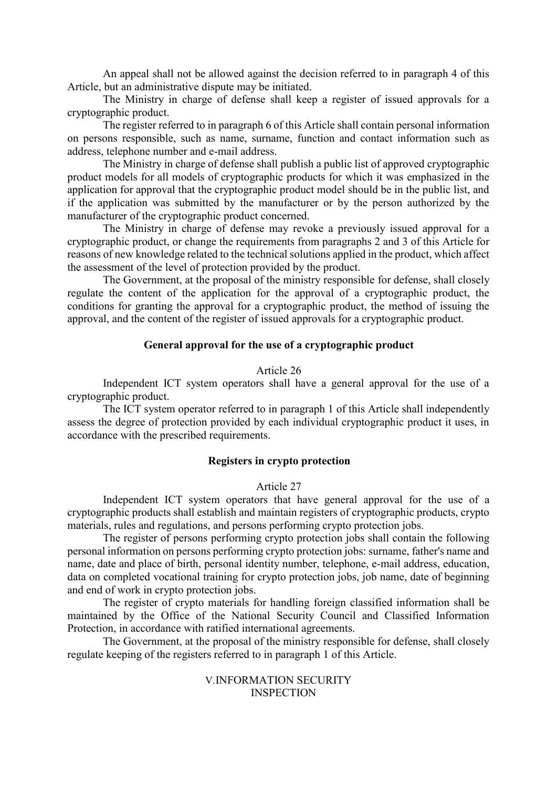An appeal shall not be allowed against the decision referred to in paragraph 4 of this Article, but an administrative dispute may be initiated.

The Ministry in charge of defense shall keep a register of issued approvals for a cryptographic product.

The register referred to in paragraph 6 of this Article shall contain personal information on persons responsible, such as name, surname, function and contact information such as address, telephone number and e-mail address.

The Ministry in charge of defense shall publish a public list of approved cryptographic product models for all models of cryptographic products for which it was emphasized in the application for approval that the cryptographic product model should be in the public list, and if the application was submitted by the manufacturer or by the person authorized by the manufacturer of the cryptographic product concerned.

The Ministry in charge of defense may revoke a previously issued approval for a cryptographic product, or change the requirements from paragraphs 2 and 3 of this Article for reasons of new knowledge related to the technical solutions applied in the product, which affect the assessment of the level of protection provided by the product.

The Government, at the proposal of the ministry responsible for defense, shall closely regulate the content of the application for the approval of a cryptographic product, the conditions for granting the approval for a cryptographic product, the method of issuing the approval, and the content of the register of issued approvals for a cryptographic product.

## **General approval for the use of a cryptographic product**

### Article 26

Independent ICT system operators shall have a general approval for the use of a cryptographic product.

The ICT system operator referred to in paragraph 1 of this Article shall independently assess the degree of protection provided by each individual cryptographic product it uses, in accordance with the prescribed requirements.

### **Registers in crypto protection**

### Article 27

Independent ICT system operators that have general approval for the use of a cryptographic products shall establish and maintain registers of cryptographic products, crypto materials, rules and regulations, and persons performing crypto protection jobs.

The register of persons performing crypto protection jobs shall contain the following personal information on persons performing crypto protection jobs: surname, father's name and name, date and place of birth, personal identity number, telephone, e-mail address, education, data on completed vocational training for crypto protection jobs, job name, date of beginning and end of work in crypto protection jobs.

The register of crypto materials for handling foreign classified information shall be maintained by the Office of the National Security Council and Classified Information Protection, in accordance with ratified international agreements.

The Government, at the proposal of the ministry responsible for defense, shall closely regulate keeping of the registers referred to in paragraph 1 of this Article.

> V.INFORMATION SECURITY **INSPECTION**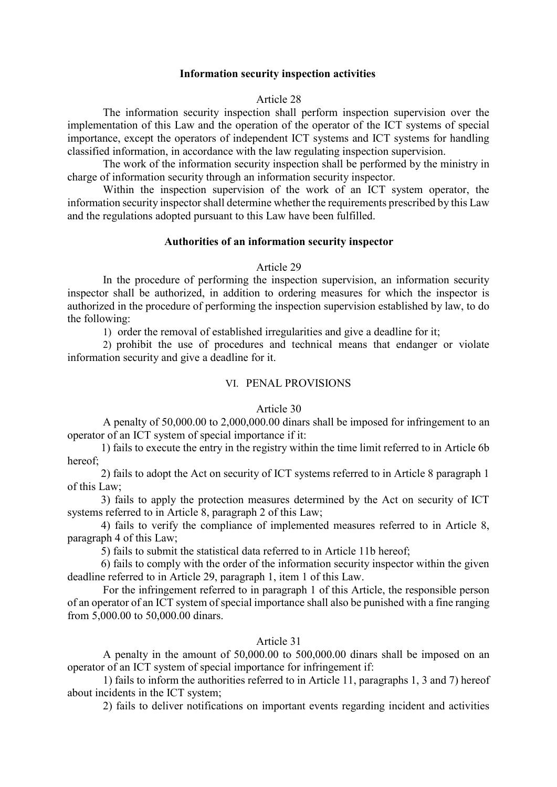#### **Information security inspection activities**

#### Article 28

The information security inspection shall perform inspection supervision over the implementation of this Law and the operation of the operator of the ICT systems of special importance, except the operators of independent ICT systems and ICT systems for handling classified information, in accordance with the law regulating inspection supervision.

The work of the information security inspection shall be performed by the ministry in charge of information security through an information security inspector.

Within the inspection supervision of the work of an ICT system operator, the information security inspector shall determine whether the requirements prescribed by this Law and the regulations adopted pursuant to this Law have been fulfilled.

#### **Authorities of an information security inspector**

#### Article 29

In the procedure of performing the inspection supervision, an information security inspector shall be authorized, in addition to ordering measures for which the inspector is authorized in the procedure of performing the inspection supervision established by law, to do the following:

1) order the removal of established irregularities and give a deadline for it;

2) prohibit the use of procedures and technical means that endanger or violate information security and give a deadline for it.

### VI. PENAL PROVISIONS

## Article 30

A penalty of 50,000.00 to 2,000,000.00 dinars shall be imposed for infringement to an operator of an ICT system of special importance if it:

1) fails to execute the entry in the registry within the time limit referred to in Article 6b hereof;

2) fails to adopt the Act on security of ICT systems referred to in Article 8 paragraph 1 of this Law;

3) fails to apply the protection measures determined by the Act on security of ICT systems referred to in Article 8, paragraph 2 of this Law;

4) fails to verify the compliance of implemented measures referred to in Article 8, paragraph 4 of this Law;

5) fails to submit the statistical data referred to in Article 11b hereof;

6) fails to comply with the order of the information security inspector within the given deadline referred to in Article 29, paragraph 1, item 1 of this Law.

For the infringement referred to in paragraph 1 of this Article, the responsible person of an operator of an ICT system of special importance shall also be punished with a fine ranging from 5,000.00 to 50,000.00 dinars.

## Article 31

A penalty in the amount of 50,000.00 to 500,000.00 dinars shall be imposed on an operator of an ICT system of special importance for infringement if:

1) fails to inform the authorities referred to in Article 11, paragraphs 1, 3 and 7) hereof about incidents in the ICT system;

2) fails to deliver notifications on important events regarding incident and activities